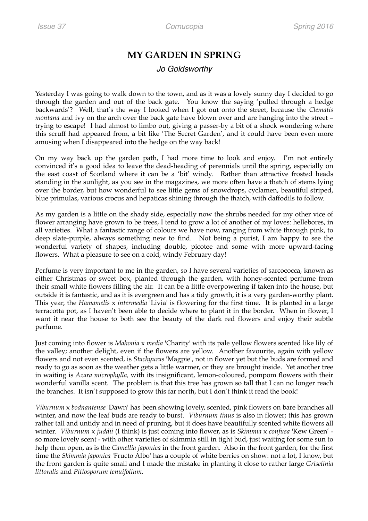## **MY GARDEN IN SPRING**

## *Jo Goldsworthy*

Yesterday I was going to walk down to the town, and as it was a lovely sunny day I decided to go through the garden and out of the back gate. You know the saying 'pulled through a hedge backwards'? Well, that's the way I looked when I got out onto the street, because the *Clematis montana* and ivy on the arch over the back gate have blown over and are hanging into the street – trying to escape! I had almost to limbo out, giving a passer-by a bit of a shock wondering where this scruff had appeared from, a bit like 'The Secret Garden', and it could have been even more amusing when I disappeared into the hedge on the way back!

On my way back up the garden path, I had more time to look and enjoy. I'm not entirely convinced it's a good idea to leave the dead-heading of perennials until the spring, especially on the east coast of Scotland where it can be a 'bit' windy. Rather than attractive frosted heads standing in the sunlight, as you see in the magazines, we more often have a thatch of stems lying over the border, but how wonderful to see little gems of snowdrops, cyclamen, beautiful striped, blue primulas, various crocus and hepaticas shining through the thatch, with daffodils to follow.

As my garden is a little on the shady side, especially now the shrubs needed for my other vice of flower arranging have grown to be trees, I tend to grow a lot of another of my loves: hellebores, in all varieties. What a fantastic range of colours we have now, ranging from white through pink, to deep slate-purple, always something new to find. Not being a purist, I am happy to see the wonderful variety of shapes, including double, picotee and some with more upward-facing flowers. What a pleasure to see on a cold, windy February day!

Perfume is very important to me in the garden, so I have several varieties of sarcococca, known as either Christmas or sweet box, planted through the garden, with honey-scented perfume from their small white flowers filling the air. It can be a little overpowering if taken into the house, but outside it is fantastic, and as it is evergreen and has a tidy growth, it is a very garden-worthy plant. This year, the *Hamamelis* x *intermedia* 'Livia' is flowering for the first time. It is planted in a large terracotta pot, as I haven't been able to decide where to plant it in the border. When in flower, I want it near the house to both see the beauty of the dark red flowers and enjoy their subtle perfume.

Just coming into flower is *Mahonia* x *media* 'Charity' with its pale yellow flowers scented like lily of the valley; another delight, even if the flowers are yellow. Another favourite, again with yellow flowers and not even scented, is *Stachyuras* 'Magpie', not in flower yet but the buds are formed and ready to go as soon as the weather gets a little warmer, or they are brought inside. Yet another tree in waiting is *Azara microphylla,* with its insignificant, lemon-coloured, pompom flowers with their wonderful vanilla scent. The problem is that this tree has grown so tall that I can no longer reach the branches. It isn't supposed to grow this far north, but I don't think it read the book!

*Viburnum* x *bodnantense* 'Dawn' has been showing lovely, scented, pink flowers on bare branches all winter, and now the leaf buds are ready to burst. *Viburnum tinus* is also in flower; this has grown rather tall and untidy and in need of pruning, but it does have beautifully scented white flowers all winter. *Viburnum* x *juddii* (I think) is just coming into flower, as is *Skimmia* x *confusa* 'Kew Green' so more lovely scent - with other varieties of skimmia still in tight bud, just waiting for some sun to help them open, as is the *Camellia japonica* in the front garden. Also in the front garden, for the first time the *Skimmia japonica* 'Fructo Albo' has a couple of white berries on show: not a lot, I know, but the front garden is quite small and I made the mistake in planting it close to rather large *Griselinia littoralis* and *Pittosporum tenuifolium*.